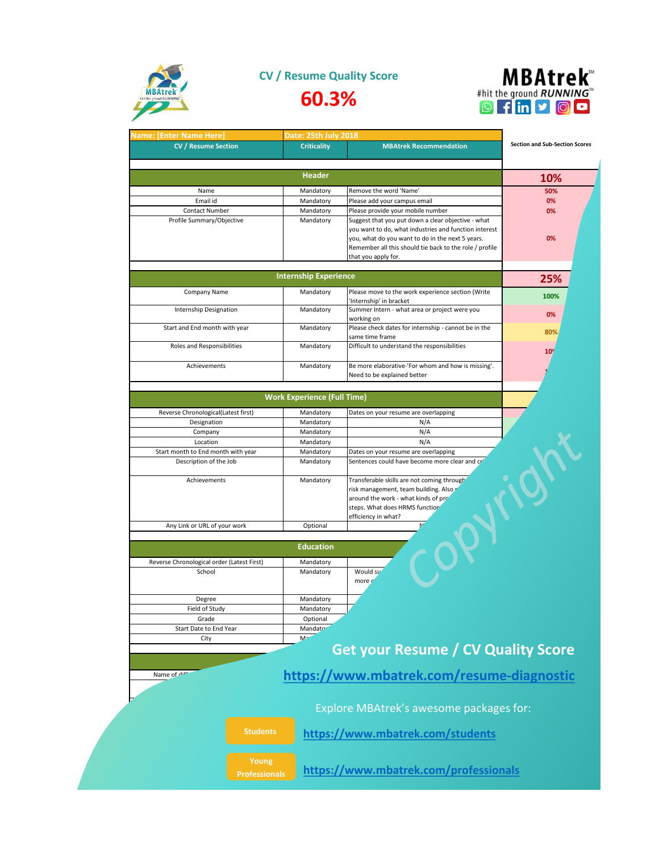

**CV / Resume Quality Score**





| <b>Vame: [Enter Name Here]</b>                               | Date: 25th July 2018               |                                                                                                             |                                       |
|--------------------------------------------------------------|------------------------------------|-------------------------------------------------------------------------------------------------------------|---------------------------------------|
| <b>CV / Resume Section</b>                                   | <b>Criticality</b>                 | <b>MBAtrek Recommendation</b>                                                                               | <b>Section and Sub-Section Scores</b> |
|                                                              | <b>Header</b>                      |                                                                                                             |                                       |
|                                                              |                                    |                                                                                                             | 10%                                   |
| Name                                                         | Mandatory                          | Remove the word 'Name'                                                                                      | 50%                                   |
| Email id                                                     | Mandatory                          | Please add your campus email                                                                                | 0%                                    |
| <b>Contact Number</b>                                        | Mandatory                          | Please provide your mobile number                                                                           | 0%                                    |
| Profile Summary/Objective                                    | Mandatory                          | Suggest that you put down a clear objective - what<br>you want to do, what industries and function interest |                                       |
|                                                              |                                    | you, what do you want to do in the next 5 years.                                                            | 0%                                    |
|                                                              |                                    | Remember all this should tie back to the role / profile                                                     |                                       |
|                                                              |                                    | that you apply for.                                                                                         |                                       |
|                                                              |                                    |                                                                                                             |                                       |
|                                                              | <b>Internship Experience</b>       |                                                                                                             | 25%                                   |
| Company Name                                                 | Mandatory                          | Please move to the work experience section (Write                                                           |                                       |
|                                                              |                                    | 'Internship' in bracket                                                                                     | 100%                                  |
| Internship Designation                                       | Mandatory                          | Summer Intern - what area or project were you                                                               | 0%                                    |
|                                                              |                                    | working on                                                                                                  |                                       |
| Start and End month with year                                | Mandatory                          | Please check dates for internship - cannot be in the                                                        | 80%                                   |
| Roles and Responsibilities                                   |                                    | same time frame                                                                                             |                                       |
|                                                              | Mandatory                          | Difficult to understand the responsibilities                                                                | 10 <sup>°</sup>                       |
| Achievements                                                 | Mandatory                          | Be more elaborative-'For whom and how is missing'.                                                          |                                       |
|                                                              |                                    | Need to be explained better                                                                                 |                                       |
|                                                              |                                    |                                                                                                             |                                       |
|                                                              | <b>Work Experience (Full Time)</b> |                                                                                                             |                                       |
|                                                              |                                    |                                                                                                             |                                       |
| Reverse Chronological(Latest first)                          | Mandatory                          | Dates on your resume are overlapping                                                                        |                                       |
| Designation                                                  | Mandatory                          | N/A                                                                                                         |                                       |
| Company                                                      | Mandatory                          | N/A                                                                                                         |                                       |
| Location                                                     | Mandatory<br>Mandatory             | N/A<br>Dates on your resume are overlapping                                                                 |                                       |
| Start month to End month with year<br>Description of the Job | Mandatory                          | Sentences could have become more clear and cr'                                                              |                                       |
|                                                              |                                    |                                                                                                             |                                       |
| Achievements                                                 | Mandatory                          | Transferable skills are not coming through                                                                  |                                       |
|                                                              |                                    | risk management, team building. Also                                                                        |                                       |
|                                                              |                                    | around the work - what kinds of pro                                                                         |                                       |
|                                                              |                                    | steps. What does HRMS function                                                                              |                                       |
|                                                              |                                    | efficiency in what?                                                                                         |                                       |
| Any Link or URL of your work                                 | Optional                           |                                                                                                             |                                       |
|                                                              | <b>Education</b>                   |                                                                                                             |                                       |
|                                                              |                                    |                                                                                                             |                                       |
| Reverse Chronological order (Latest First)                   | Mandatory                          |                                                                                                             |                                       |
| School                                                       | Mandatory                          | Would su<br>more o                                                                                          |                                       |
|                                                              |                                    |                                                                                                             |                                       |
| Degree                                                       | Mandatory                          |                                                                                                             |                                       |
| Field of Study                                               | Mandatory                          |                                                                                                             |                                       |
| Grade                                                        | Optional                           |                                                                                                             |                                       |
| Start Date to End Year                                       | Mandato <sup>®</sup>               |                                                                                                             |                                       |
| City                                                         | $M -$                              |                                                                                                             |                                       |
|                                                              |                                    | <b>Get your Resume / CV Quality Score</b>                                                                   |                                       |
|                                                              |                                    |                                                                                                             |                                       |
| Name of diff                                                 |                                    | https://www.mbatrek.com/resume-diagnostic                                                                   |                                       |
|                                                              |                                    |                                                                                                             |                                       |
|                                                              |                                    |                                                                                                             |                                       |
|                                                              |                                    | Explore MBAtrek's awesome packages for:                                                                     |                                       |
|                                                              |                                    |                                                                                                             |                                       |
|                                                              |                                    |                                                                                                             |                                       |
| <b>Students</b>                                              |                                    |                                                                                                             |                                       |
|                                                              |                                    | https://www.mbatrek.com/students                                                                            |                                       |
|                                                              |                                    |                                                                                                             |                                       |
| Young                                                        |                                    | https://www.mbatrek.com/professionals                                                                       |                                       |